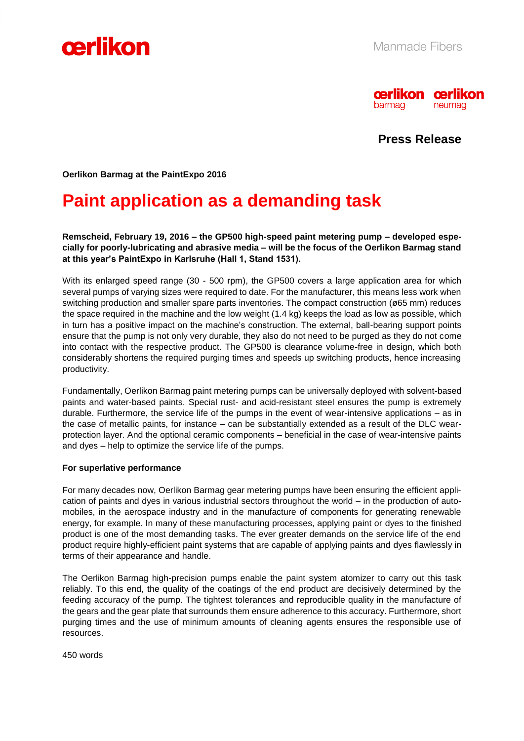



**Press Release**

**Oerlikon Barmag at the PaintExpo 2016**

# **Paint application as a demanding task**

**Remscheid, February 19, 2016 – the GP500 high-speed paint metering pump – developed especially for poorly-lubricating and abrasive media – will be the focus of the Oerlikon Barmag stand at this year's PaintExpo in Karlsruhe (Hall 1, Stand 1531).**

With its enlarged speed range (30 - 500 rpm), the GP500 covers a large application area for which several pumps of varying sizes were required to date. For the manufacturer, this means less work when switching production and smaller spare parts inventories. The compact construction (ø65 mm) reduces the space required in the machine and the low weight (1.4 kg) keeps the load as low as possible, which in turn has a positive impact on the machine's construction. The external, ball-bearing support points ensure that the pump is not only very durable, they also do not need to be purged as they do not come into contact with the respective product. The GP500 is clearance volume-free in design, which both considerably shortens the required purging times and speeds up switching products, hence increasing productivity.

Fundamentally, Oerlikon Barmag paint metering pumps can be universally deployed with solvent-based paints and water-based paints. Special rust- and acid-resistant steel ensures the pump is extremely durable. Furthermore, the service life of the pumps in the event of wear-intensive applications – as in the case of metallic paints, for instance – can be substantially extended as a result of the DLC wearprotection layer. And the optional ceramic components – beneficial in the case of wear-intensive paints and dyes – help to optimize the service life of the pumps.

# **For superlative performance**

For many decades now, Oerlikon Barmag gear metering pumps have been ensuring the efficient application of paints and dyes in various industrial sectors throughout the world – in the production of automobiles, in the aerospace industry and in the manufacture of components for generating renewable energy, for example. In many of these manufacturing processes, applying paint or dyes to the finished product is one of the most demanding tasks. The ever greater demands on the service life of the end product require highly-efficient paint systems that are capable of applying paints and dyes flawlessly in terms of their appearance and handle.

The Oerlikon Barmag high-precision pumps enable the paint system atomizer to carry out this task reliably. To this end, the quality of the coatings of the end product are decisively determined by the feeding accuracy of the pump. The tightest tolerances and reproducible quality in the manufacture of the gears and the gear plate that surrounds them ensure adherence to this accuracy. Furthermore, short purging times and the use of minimum amounts of cleaning agents ensures the responsible use of resources.

450 words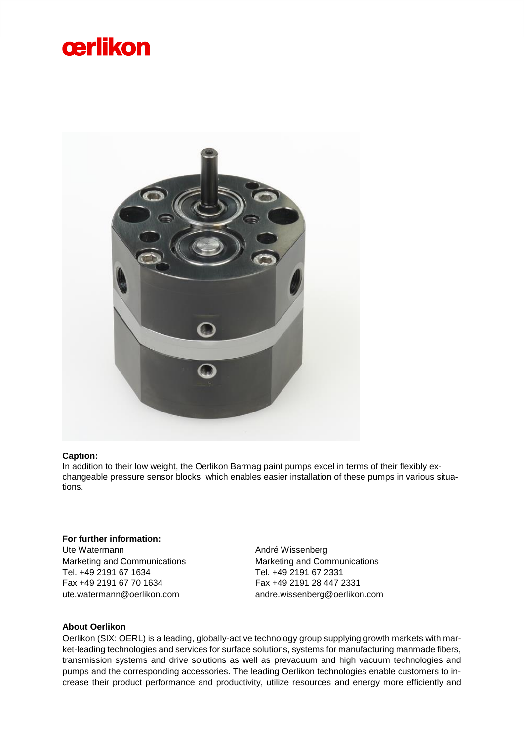# cerlikon



# **Caption:**

In addition to their low weight, the Oerlikon Barmag paint pumps excel in terms of their flexibly exchangeable pressure sensor blocks, which enables easier installation of these pumps in various situations.

# **For further information:**

Ute Watermann Marketing and Communications Tel. +49 2191 67 1634 Fax +49 2191 67 70 1634 ute.watermann@oerlikon.com

André Wissenberg Marketing and Communications Tel. +49 2191 67 2331 Fax +49 2191 28 447 2331 andre.wissenberg@oerlikon.com

# **About Oerlikon**

Oerlikon (SIX: OERL) is a leading, globally-active technology group supplying growth markets with market-leading technologies and services for surface solutions, systems for manufacturing manmade fibers, transmission systems and drive solutions as well as prevacuum and high vacuum technologies and pumps and the corresponding accessories. The leading Oerlikon technologies enable customers to increase their product performance and productivity, utilize resources and energy more efficiently and